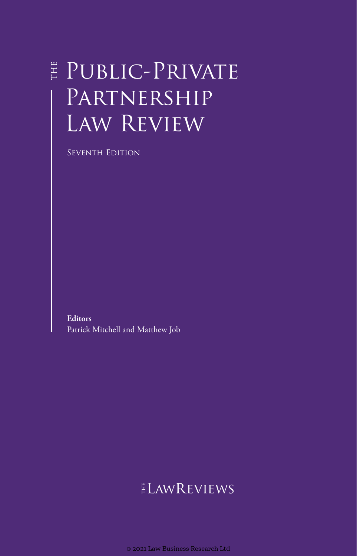## E PUBLIC-PRIVATE Partnership Law Review

Seventh Edition

**Editors** Patrick Mitchell and Matthew Job

## ELAWREVIEWS

© 2021 Law Business Research Ltd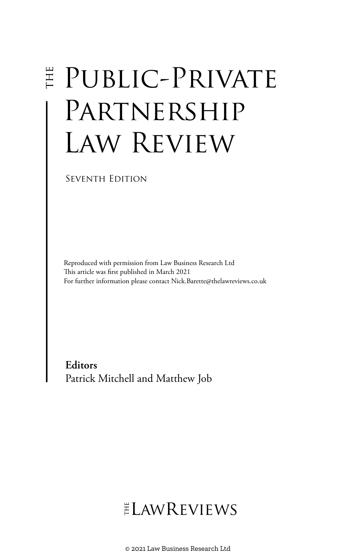# **E PUBLIC-PRIVATE** PARTNERSHIP Law Review

Seventh Edition

Reproduced with permission from Law Business Research Ltd This article was first published in March 2021 For further information please contact Nick.Barette@thelawreviews.co.uk

**Editors** Patrick Mitchell and Matthew Job

## $ELMR$  EVIEWS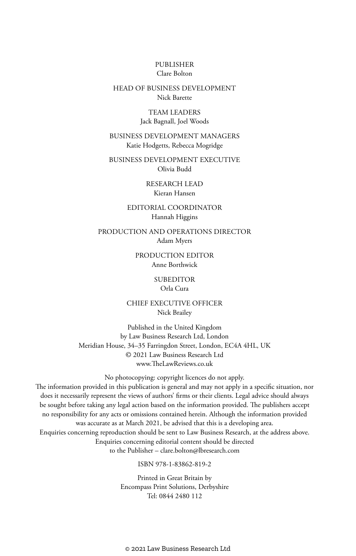#### PUBLISHER Clare Bolton

#### HEAD OF BUSINESS DEVELOPMENT Nick Barette

#### TEAM LEADERS Jack Bagnall, Joel Woods

#### BUSINESS DEVELOPMENT MANAGERS Katie Hodgetts, Rebecca Mogridge

BUSINESS DEVELOPMENT EXECUTIVE Olivia Budd

> RESEARCH LEAD Kieran Hansen

#### EDITORIAL COORDINATOR Hannah Higgins

PRODUCTION AND OPERATIONS DIRECTOR Adam Myers

> PRODUCTION EDITOR Anne Borthwick

> > **SUBEDITOR** Orla Cura

CHIEF EXECUTIVE OFFICER Nick Brailey

Published in the United Kingdom by Law Business Research Ltd, London Meridian House, 34–35 Farringdon Street, London, EC4A 4HL, UK © 2021 Law Business Research Ltd www.TheLawReviews.co.uk

No photocopying: copyright licences do not apply. The information provided in this publication is general and may not apply in a specific situation, nor does it necessarily represent the views of authors' firms or their clients. Legal advice should always be sought before taking any legal action based on the information provided. The publishers accept no responsibility for any acts or omissions contained herein. Although the information provided was accurate as at March 2021, be advised that this is a developing area. Enquiries concerning reproduction should be sent to Law Business Research, at the address above. Enquiries concerning editorial content should be directed to the Publisher – clare.bolton@lbresearch.com

#### ISBN 978-1-83862-819-2

Printed in Great Britain by Encompass Print Solutions, Derbyshire Tel: 0844 2480 112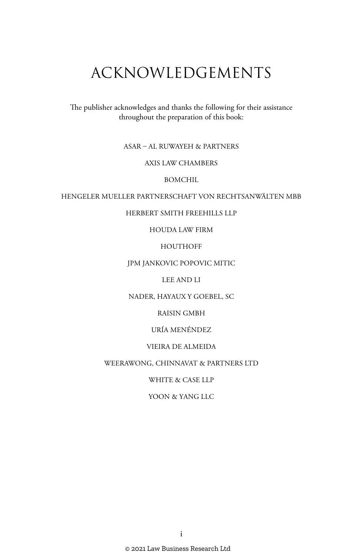## ACKNOWLEDGEMENTS

The publisher acknowledges and thanks the following for their assistance throughout the preparation of this book:

#### ASAR – AL RUWAYEH & PARTNERS

#### AXIS LAW CHAMBERS

BOMCHIL

#### HENGELER MUELLER PARTNERSCHAFT VON RECHTSANWÄLTEN MBB

#### HERBERT SMITH FREEHILLS LLP

HOUDA LAW FIRM

HOUTHOFF

#### JPM JANKOVIC POPOVIC MITIC

LEE AND LI

#### NADER, HAYAUX Y GOEBEL, SC

RAISIN GMBH

URÍA MENÉNDEZ

#### VIEIRA DE ALMEIDA

#### WEERAWONG, CHINNAVAT & PARTNERS LTD

WHITE & CASE LLP

#### YOON & YANG LLC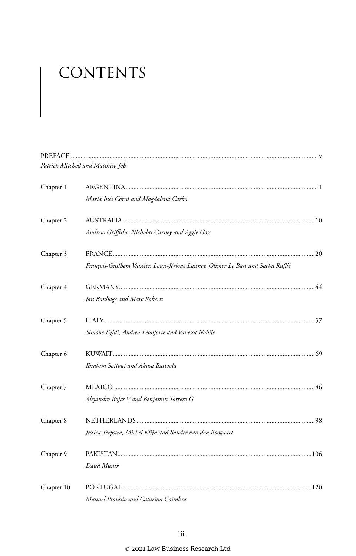# CONTENTS

|            | Patrick Mitchell and Matthew Job                                                  |  |
|------------|-----------------------------------------------------------------------------------|--|
| Chapter 1  |                                                                                   |  |
|            | María Inés Corrá and Magdalena Carbó                                              |  |
| Chapter 2  |                                                                                   |  |
|            | Andrew Griffiths, Nicholas Carney and Aggie Goss                                  |  |
| Chapter 3  |                                                                                   |  |
|            | François-Guilhem Vaissier, Louis-Jérôme Laisney, Olivier Le Bars and Sacha Ruffié |  |
| Chapter 4  |                                                                                   |  |
|            | Jan Bonhage and Marc Roberts                                                      |  |
| Chapter 5  |                                                                                   |  |
|            | Simone Egidi, Andrea Leonforte and Vanessa Nobile                                 |  |
| Chapter 6  |                                                                                   |  |
|            | Ibrahim Sattout and Akusa Batwala                                                 |  |
| Chapter 7  |                                                                                   |  |
|            | Alejandro Rojas V and Benjamin Torrero G                                          |  |
| Chapter 8  |                                                                                   |  |
|            | Jessica Terpstra, Michel Klijn and Sander van den Boogaart                        |  |
| Chapter 9  |                                                                                   |  |
|            | Daud Munir                                                                        |  |
| Chapter 10 |                                                                                   |  |
|            | Manuel Protásio and Catarina Coimbra                                              |  |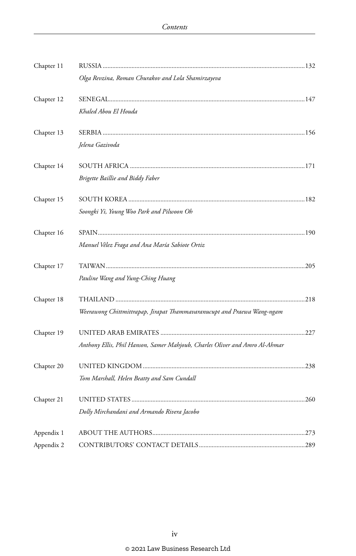| Chapter 11 |                                                                             |  |
|------------|-----------------------------------------------------------------------------|--|
|            | Olga Revzina, Roman Churakov and Lola Shamirzayeva                          |  |
| Chapter 12 |                                                                             |  |
|            | Khaled Abou El Houda                                                        |  |
| Chapter 13 |                                                                             |  |
|            | Jelena Gazivoda                                                             |  |
| Chapter 14 |                                                                             |  |
|            | Brigette Baillie and Biddy Faber                                            |  |
| Chapter 15 |                                                                             |  |
|            | Soongki Yi, Young Woo Park and Pilwoon Oh                                   |  |
| Chapter 16 |                                                                             |  |
|            | Manuel Vélez Fraga and Ana María Sabiote Ortiz                              |  |
| Chapter 17 |                                                                             |  |
|            | Pauline Wang and Yung-Ching Huang                                           |  |
| Chapter 18 |                                                                             |  |
|            | Weerawong Chittmittrapap, Jirapat Thammavaranucupt and Praewa Wang-ngam     |  |
| Chapter 19 |                                                                             |  |
|            | Anthony Ellis, Phil Hanson, Samer Mahjoub, Charles Oliver and Amro Al-Ahmar |  |
| Chapter 20 |                                                                             |  |
|            | Tom Marshall, Helen Beatty and Sam Cundall                                  |  |
| Chapter 21 |                                                                             |  |
|            | Dolly Mirchandani and Armando Rivera Jacobo                                 |  |
| Appendix 1 |                                                                             |  |
| Appendix 2 |                                                                             |  |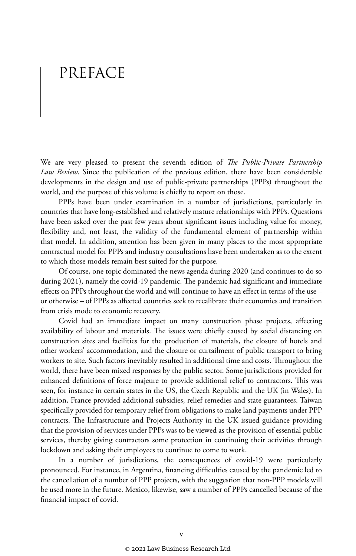## PREFACE

We are very pleased to present the seventh edition of *The Public-Private Partnership Law Review*. Since the publication of the previous edition, there have been considerable developments in the design and use of public-private partnerships (PPPs) throughout the world, and the purpose of this volume is chiefly to report on those.

PPPs have been under examination in a number of jurisdictions, particularly in countries that have long-established and relatively mature relationships with PPPs. Questions have been asked over the past few years about significant issues including value for money, flexibility and, not least, the validity of the fundamental element of partnership within that model. In addition, attention has been given in many places to the most appropriate contractual model for PPPs and industry consultations have been undertaken as to the extent to which those models remain best suited for the purpose.

Of course, one topic dominated the news agenda during 2020 (and continues to do so during 2021), namely the covid-19 pandemic. The pandemic had significant and immediate effects on PPPs throughout the world and will continue to have an effect in terms of the use – or otherwise – of PPPs as affected countries seek to recalibrate their economies and transition from crisis mode to economic recovery.

Covid had an immediate impact on many construction phase projects, affecting availability of labour and materials. The issues were chiefly caused by social distancing on construction sites and facilities for the production of materials, the closure of hotels and other workers' accommodation, and the closure or curtailment of public transport to bring workers to site. Such factors inevitably resulted in additional time and costs. Throughout the world, there have been mixed responses by the public sector. Some jurisdictions provided for enhanced definitions of force majeure to provide additional relief to contractors. This was seen, for instance in certain states in the US, the Czech Republic and the UK (in Wales). In addition, France provided additional subsidies, relief remedies and state guarantees. Taiwan specifically provided for temporary relief from obligations to make land payments under PPP contracts. The Infrastructure and Projects Authority in the UK issued guidance providing that the provision of services under PPPs was to be viewed as the provision of essential public services, thereby giving contractors some protection in continuing their activities through lockdown and asking their employees to continue to come to work.

In a number of jurisdictions, the consequences of covid-19 were particularly pronounced. For instance, in Argentina, financing difficulties caused by the pandemic led to the cancellation of a number of PPP projects, with the suggestion that non-PPP models will be used more in the future. Mexico, likewise, saw a number of PPPs cancelled because of the financial impact of covid.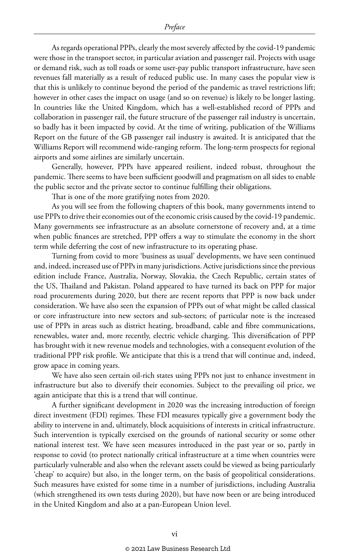As regards operational PPPs, clearly the most severely affected by the covid-19 pandemic were those in the transport sector, in particular aviation and passenger rail. Projects with usage or demand risk, such as toll roads or some user-pay public transport infrastructure, have seen revenues fall materially as a result of reduced public use. In many cases the popular view is that this is unlikely to continue beyond the period of the pandemic as travel restrictions lift; however in other cases the impact on usage (and so on revenue) is likely to be longer lasting. In countries like the United Kingdom, which has a well-established record of PPPs and collaboration in passenger rail, the future structure of the passenger rail industry is uncertain, so badly has it been impacted by covid. At the time of writing, publication of the Williams Report on the future of the GB passenger rail industry is awaited. It is anticipated that the Williams Report will recommend wide-ranging reform. The long-term prospects for regional airports and some airlines are similarly uncertain.

Generally, however, PPPs have appeared resilient, indeed robust, throughout the pandemic. There seems to have been sufficient goodwill and pragmatism on all sides to enable the public sector and the private sector to continue fulfilling their obligations.

That is one of the more gratifying notes from 2020.

As you will see from the following chapters of this book, many governments intend to use PPPs to drive their economies out of the economic crisis caused by the covid-19 pandemic. Many governments see infrastructure as an absolute cornerstone of recovery and, at a time when public finances are stretched, PPP offers a way to stimulate the economy in the short term while deferring the cost of new infrastructure to its operating phase.

Turning from covid to more 'business as usual' developments, we have seen continued and, indeed, increased use of PPPs in many jurisdictions. Active jurisdictions since the previous edition include France, Australia, Norway, Slovakia, the Czech Republic, certain states of the US, Thailand and Pakistan. Poland appeared to have turned its back on PPP for major road procurements during 2020, but there are recent reports that PPP is now back under consideration. We have also seen the expansion of PPPs out of what might be called classical or core infrastructure into new sectors and sub-sectors; of particular note is the increased use of PPPs in areas such as district heating, broadband, cable and fibre communications, renewables, water and, more recently, electric vehicle charging. This diversification of PPP has brought with it new revenue models and technologies, with a consequent evolution of the traditional PPP risk profile. We anticipate that this is a trend that will continue and, indeed, grow apace in coming years.

We have also seen certain oil-rich states using PPPs not just to enhance investment in infrastructure but also to diversify their economies. Subject to the prevailing oil price, we again anticipate that this is a trend that will continue.

A further significant development in 2020 was the increasing introduction of foreign direct investment (FDI) regimes. These FDI measures typically give a government body the ability to intervene in and, ultimately, block acquisitions of interests in critical infrastructure. Such intervention is typically exercised on the grounds of national security or some other national interest test. We have seen measures introduced in the past year or so, partly in response to covid (to protect nationally critical infrastructure at a time when countries were particularly vulnerable and also when the relevant assets could be viewed as being particularly 'cheap' to acquire) but also, in the longer term, on the basis of geopolitical considerations. Such measures have existed for some time in a number of jurisdictions, including Australia (which strengthened its own tests during 2020), but have now been or are being introduced in the United Kingdom and also at a pan-European Union level.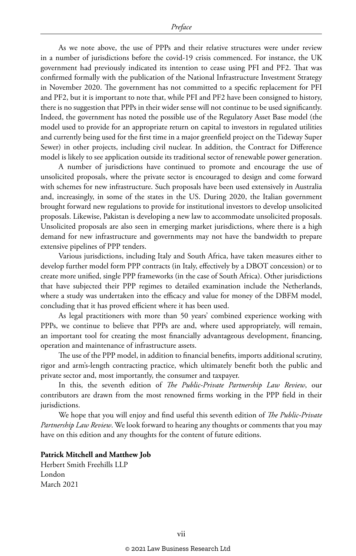As we note above, the use of PPPs and their relative structures were under review in a number of jurisdictions before the covid-19 crisis commenced. For instance, the UK government had previously indicated its intention to cease using PFI and PF2. That was confirmed formally with the publication of the National Infrastructure Investment Strategy in November 2020. The government has not committed to a specific replacement for PFI and PF2, but it is important to note that, while PFI and PF2 have been consigned to history, there is no suggestion that PPPs in their wider sense will not continue to be used significantly. Indeed, the government has noted the possible use of the Regulatory Asset Base model (the model used to provide for an appropriate return on capital to investors in regulated utilities and currently being used for the first time in a major greenfield project on the Tideway Super Sewer) in other projects, including civil nuclear. In addition, the Contract for Difference model is likely to see application outside its traditional sector of renewable power generation.

A number of jurisdictions have continued to promote and encourage the use of unsolicited proposals, where the private sector is encouraged to design and come forward with schemes for new infrastructure. Such proposals have been used extensively in Australia and, increasingly, in some of the states in the US. During 2020, the Italian government brought forward new regulations to provide for institutional investors to develop unsolicited proposals. Likewise, Pakistan is developing a new law to accommodate unsolicited proposals. Unsolicited proposals are also seen in emerging market jurisdictions, where there is a high demand for new infrastructure and governments may not have the bandwidth to prepare extensive pipelines of PPP tenders.

Various jurisdictions, including Italy and South Africa, have taken measures either to develop further model form PPP contracts (in Italy, effectively by a DBOT concession) or to create more unified, single PPP frameworks (in the case of South Africa). Other jurisdictions that have subjected their PPP regimes to detailed examination include the Netherlands, where a study was undertaken into the efficacy and value for money of the DBFM model, concluding that it has proved efficient where it has been used.

As legal practitioners with more than 50 years' combined experience working with PPPs, we continue to believe that PPPs are and, where used appropriately, will remain, an important tool for creating the most financially advantageous development, financing, operation and maintenance of infrastructure assets.

The use of the PPP model, in addition to financial benefits, imports additional scrutiny, rigor and arm's-length contracting practice, which ultimately benefit both the public and private sector and, most importantly, the consumer and taxpayer.

In this, the seventh edition of *The Public-Private Partnership Law Review*, our contributors are drawn from the most renowned firms working in the PPP field in their jurisdictions.

We hope that you will enjoy and find useful this seventh edition of *The Public-Private Partnership Law Review*. We look forward to hearing any thoughts or comments that you may have on this edition and any thoughts for the content of future editions.

#### **Patrick Mitchell and Matthew Job**

Herbert Smith Freehills LLP London March 2021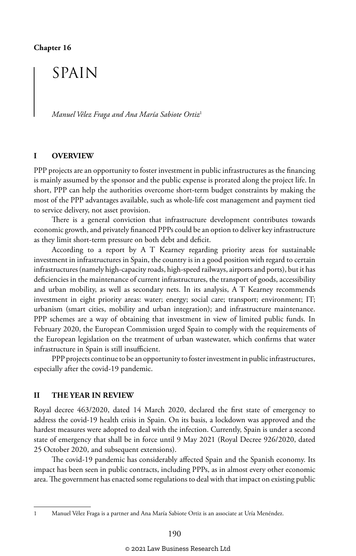## SPAIN

*Manuel Vélez Fraga and Ana María Sabiote Ortiz*<sup>1</sup>

#### **I OVERVIEW**

PPP projects are an opportunity to foster investment in public infrastructures as the financing is mainly assumed by the sponsor and the public expense is prorated along the project life. In short, PPP can help the authorities overcome short-term budget constraints by making the most of the PPP advantages available, such as whole-life cost management and payment tied to service delivery, not asset provision.

There is a general conviction that infrastructure development contributes towards economic growth, and privately financed PPPs could be an option to deliver key infrastructure as they limit short-term pressure on both debt and deficit.

According to a report by A T Kearney regarding priority areas for sustainable investment in infrastructures in Spain, the country is in a good position with regard to certain infrastructures (namely high-capacity roads, high-speed railways, airports and ports), but it has deficiencies in the maintenance of current infrastructures, the transport of goods, accessibility and urban mobility, as well as secondary nets. In its analysis, A T Kearney recommends investment in eight priority areas: water; energy; social care; transport; environment; IT; urbanism (smart cities, mobility and urban integration); and infrastructure maintenance. PPP schemes are a way of obtaining that investment in view of limited public funds. In February 2020, the European Commission urged Spain to comply with the requirements of the European legislation on the treatment of urban wastewater, which confirms that water infrastructure in Spain is still insufficient.

PPP projects continue to be an opportunity to foster investment in public infrastructures, especially after the covid-19 pandemic.

#### **II THE YEAR IN REVIEW**

Royal decree 463/2020, dated 14 March 2020, declared the first state of emergency to address the covid-19 health crisis in Spain. On its basis, a lockdown was approved and the hardest measures were adopted to deal with the infection. Currently, Spain is under a second state of emergency that shall be in force until 9 May 2021 (Royal Decree 926/2020, dated 25 October 2020, and subsequent extensions).

The covid-19 pandemic has considerably affected Spain and the Spanish economy. Its impact has been seen in public contracts, including PPPs, as in almost every other economic area. The government has enacted some regulations to deal with that impact on existing public

<sup>1</sup> Manuel Vélez Fraga is a partner and Ana María Sabiote Ortiz is an associate at Uría Menéndez.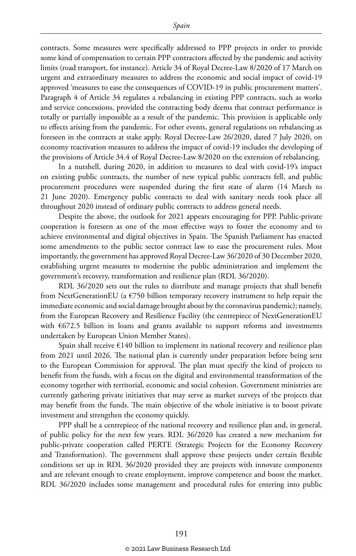contracts. Some measures were specifically addressed to PPP projects in order to provide some kind of compensation to certain PPP contractors affected by the pandemic and activity limits (road transport, for instance). Article 34 of Royal Decree-Law 8/2020 of 17 March on urgent and extraordinary measures to address the economic and social impact of covid-19 approved 'measures to ease the consequences of COVID-19 in public procurement matters'. Paragraph 4 of Article 34 regulates a rebalancing in existing PPP contracts, such as works and service concessions, provided the contracting body deems that contract performance is totally or partially impossible as a result of the pandemic. This provision is applicable only to effects arising from the pandemic. For other events, general regulations on rebalancing as foreseen in the contracts at stake apply. Royal Decree-Law 26/2020, dated 7 July 2020, on economy reactivation measures to address the impact of covid-19 includes the developing of the provisions of Article 34.4 of Royal Decree-Law 8/2020 on the extension of rebalancing.

In a nutshell, during 2020, in addition to measures to deal with covid-19's impact on existing public contracts, the number of new typical public contracts fell, and public procurement procedures were suspended during the first state of alarm (14 March to 21 June 2020). Emergency public contracts to deal with sanitary needs took place all throughout 2020 instead of ordinary public contracts to address general needs.

Despite the above, the outlook for 2021 appears encouraging for PPP. Public-private cooperation is foreseen as one of the most effective ways to foster the economy and to achieve environmental and digital objectives in Spain. The Spanish Parliament has enacted some amendments to the public sector contract law to ease the procurement rules. Most importantly, the government has approved Royal Decree-Law 36/2020 of 30 December 2020, establishing urgent measures to modernise the public administration and implement the government's recovery, transformation and resilience plan (RDL 36/2020).

RDL 36/2020 sets out the rules to distribute and manage projects that shall benefit from NextGenerationEU (a €750 billion temporary recovery instrument to help repair the immediate economic and social damage brought about by the coronavirus pandemic); namely, from the European Recovery and Resilience Facility (the centrepiece of NextGenerationEU with €672.5 billion in loans and grants available to support reforms and investments undertaken by European Union Member States).

Spain shall receive €140 billion to implement its national recovery and resilience plan from 2021 until 2026. The national plan is currently under preparation before being sent to the European Commission for approval. The plan must specify the kind of projects to benefit from the funds, with a focus on the digital and environmental transformation of the economy together with territorial, economic and social cohesion. Government ministries are currently gathering private initiatives that may serve as market surveys of the projects that may benefit from the funds. The main objective of the whole initiative is to boost private investment and strengthen the economy quickly.

PPP shall be a centrepiece of the national recovery and resilience plan and, in general, of public policy for the next few years. RDL 36/2020 has created a new mechanism for public-private cooperation called PERTE (Strategic Projects for the Economy Recovery and Transformation). The government shall approve these projects under certain flexible conditions set up in RDL 36/2020 provided they are projects with innovate components and are relevant enough to create employment, improve competence and boost the market. RDL 36/2020 includes some management and procedural rules for entering into public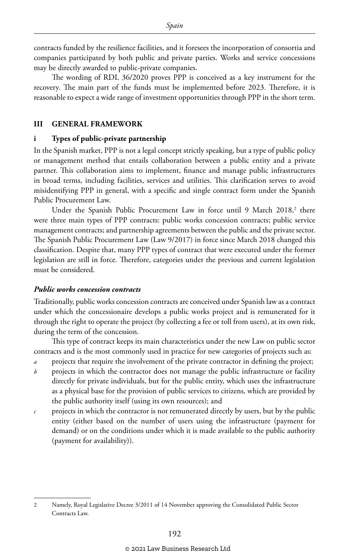contracts funded by the resilience facilities, and it foresees the incorporation of consortia and companies participated by both public and private parties. Works and service concessions may be directly awarded to public-private companies.

The wording of RDL 36/2020 proves PPP is conceived as a key instrument for the recovery. The main part of the funds must be implemented before 2023. Therefore, it is reasonable to expect a wide range of investment opportunities through PPP in the short term.

#### **III GENERAL FRAMEWORK**

#### **i Types of public-private partnership**

In the Spanish market, PPP is not a legal concept strictly speaking, but a type of public policy or management method that entails collaboration between a public entity and a private partner. This collaboration aims to implement, finance and manage public infrastructures in broad terms, including facilities, services and utilities. This clarification serves to avoid misidentifying PPP in general, with a specific and single contract form under the Spanish Public Procurement Law.

Under the Spanish Public Procurement Law in force until 9 March 2018,<sup>2</sup> there were three main types of PPP contracts: public works concession contracts; public service management contracts; and partnership agreements between the public and the private sector. The Spanish Public Procurement Law (Law 9/2017) in force since March 2018 changed this classification. Despite that, many PPP types of contract that were executed under the former legislation are still in force. Therefore, categories under the previous and current legislation must be considered.

#### *Public works concession contracts*

Traditionally, public works concession contracts are conceived under Spanish law as a contract under which the concessionaire develops a public works project and is remunerated for it through the right to operate the project (by collecting a fee or toll from users), at its own risk, during the term of the concession.

This type of contract keeps its main characteristics under the new Law on public sector contracts and is the most commonly used in practice for new categories of projects such as:

- *a* projects that require the involvement of the private contractor in defining the project;
- *b* projects in which the contractor does not manage the public infrastructure or facility directly for private individuals, but for the public entity, which uses the infrastructure as a physical base for the provision of public services to citizens, which are provided by the public authority itself (using its own resources); and
- *c* projects in which the contractor is not remunerated directly by users, but by the public entity (either based on the number of users using the infrastructure (payment for demand) or on the conditions under which it is made available to the public authority (payment for availability)).

<sup>2</sup> Namely, Royal Legislative Decree 3/2011 of 14 November approving the Consolidated Public Sector Contracts Law.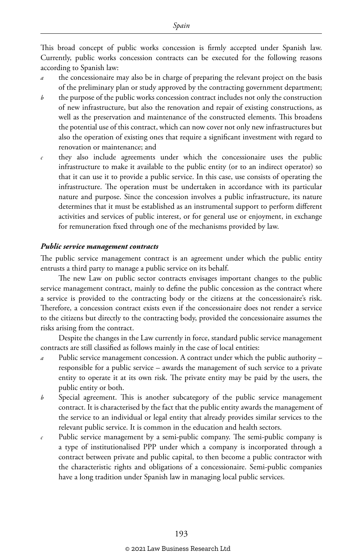This broad concept of public works concession is firmly accepted under Spanish law. Currently, public works concession contracts can be executed for the following reasons according to Spanish law:

- the concessionaire may also be in charge of preparing the relevant project on the basis of the preliminary plan or study approved by the contracting government department;
- *b* the purpose of the public works concession contract includes not only the construction of new infrastructure, but also the renovation and repair of existing constructions, as well as the preservation and maintenance of the constructed elements. This broadens the potential use of this contract, which can now cover not only new infrastructures but also the operation of existing ones that require a significant investment with regard to renovation or maintenance; and
- *c* they also include agreements under which the concessionaire uses the public infrastructure to make it available to the public entity (or to an indirect operator) so that it can use it to provide a public service. In this case, use consists of operating the infrastructure. The operation must be undertaken in accordance with its particular nature and purpose. Since the concession involves a public infrastructure, its nature determines that it must be established as an instrumental support to perform different activities and services of public interest, or for general use or enjoyment, in exchange for remuneration fixed through one of the mechanisms provided by law.

#### *Public service management contracts*

The public service management contract is an agreement under which the public entity entrusts a third party to manage a public service on its behalf.

The new Law on public sector contracts envisages important changes to the public service management contract, mainly to define the public concession as the contract where a service is provided to the contracting body or the citizens at the concessionaire's risk. Therefore, a concession contract exists even if the concessionaire does not render a service to the citizens but directly to the contracting body, provided the concessionaire assumes the risks arising from the contract.

Despite the changes in the Law currently in force, standard public service management contracts are still classified as follows mainly in the case of local entities:

- *a* Public service management concession. A contract under which the public authority responsible for a public service – awards the management of such service to a private entity to operate it at its own risk. The private entity may be paid by the users, the public entity or both.
- *b* Special agreement. This is another subcategory of the public service management contract. It is characterised by the fact that the public entity awards the management of the service to an individual or legal entity that already provides similar services to the relevant public service. It is common in the education and health sectors.
- *c* Public service management by a semi-public company. The semi-public company is a type of institutionalised PPP under which a company is incorporated through a contract between private and public capital, to then become a public contractor with the characteristic rights and obligations of a concessionaire. Semi-public companies have a long tradition under Spanish law in managing local public services.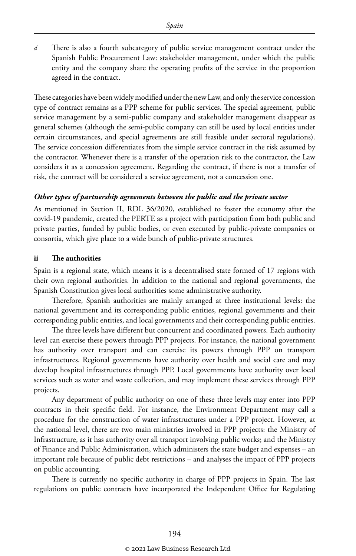*d* There is also a fourth subcategory of public service management contract under the Spanish Public Procurement Law: stakeholder management, under which the public entity and the company share the operating profits of the service in the proportion agreed in the contract.

These categories have been widely modified under the new Law, and only the service concession type of contract remains as a PPP scheme for public services. The special agreement, public service management by a semi-public company and stakeholder management disappear as general schemes (although the semi-public company can still be used by local entities under certain circumstances, and special agreements are still feasible under sectoral regulations). The service concession differentiates from the simple service contract in the risk assumed by the contractor. Whenever there is a transfer of the operation risk to the contractor, the Law considers it as a concession agreement. Regarding the contract, if there is not a transfer of risk, the contract will be considered a service agreement, not a concession one.

#### *Other types of partnership agreements between the public and the private sector*

As mentioned in Section II, RDL 36/2020, established to foster the economy after the covid-19 pandemic, created the PERTE as a project with participation from both public and private parties, funded by public bodies, or even executed by public-private companies or consortia, which give place to a wide bunch of public-private structures.

#### **ii The authorities**

Spain is a regional state, which means it is a decentralised state formed of 17 regions with their own regional authorities. In addition to the national and regional governments, the Spanish Constitution gives local authorities some administrative authority.

Therefore, Spanish authorities are mainly arranged at three institutional levels: the national government and its corresponding public entities, regional governments and their corresponding public entities, and local governments and their corresponding public entities.

The three levels have different but concurrent and coordinated powers. Each authority level can exercise these powers through PPP projects. For instance, the national government has authority over transport and can exercise its powers through PPP on transport infrastructures. Regional governments have authority over health and social care and may develop hospital infrastructures through PPP. Local governments have authority over local services such as water and waste collection, and may implement these services through PPP projects.

Any department of public authority on one of these three levels may enter into PPP contracts in their specific field. For instance, the Environment Department may call a procedure for the construction of water infrastructures under a PPP project. However, at the national level, there are two main ministries involved in PPP projects: the Ministry of Infrastructure, as it has authority over all transport involving public works; and the Ministry of Finance and Public Administration, which administers the state budget and expenses – an important role because of public debt restrictions – and analyses the impact of PPP projects on public accounting.

There is currently no specific authority in charge of PPP projects in Spain. The last regulations on public contracts have incorporated the Independent Office for Regulating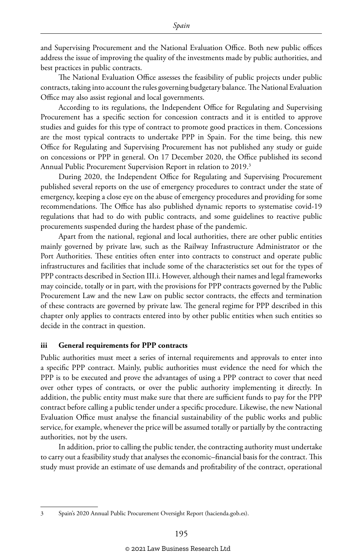and Supervising Procurement and the National Evaluation Office. Both new public offices address the issue of improving the quality of the investments made by public authorities, and best practices in public contracts.

The National Evaluation Office assesses the feasibility of public projects under public contracts, taking into account the rules governing budgetary balance. The National Evaluation Office may also assist regional and local governments.

According to its regulations, the Independent Office for Regulating and Supervising Procurement has a specific section for concession contracts and it is entitled to approve studies and guides for this type of contract to promote good practices in them. Concessions are the most typical contracts to undertake PPP in Spain. For the time being, this new Office for Regulating and Supervising Procurement has not published any study or guide on concessions or PPP in general. On 17 December 2020, the Office published its second Annual Public Procurement Supervision Report in relation to 2019.<sup>3</sup>

During 2020, the Independent Office for Regulating and Supervising Procurement published several reports on the use of emergency procedures to contract under the state of emergency, keeping a close eye on the abuse of emergency procedures and providing for some recommendations. The Office has also published dynamic reports to systematise covid-19 regulations that had to do with public contracts, and some guidelines to reactive public procurements suspended during the hardest phase of the pandemic.

Apart from the national, regional and local authorities, there are other public entities mainly governed by private law, such as the Railway Infrastructure Administrator or the Port Authorities. These entities often enter into contracts to construct and operate public infrastructures and facilities that include some of the characteristics set out for the types of PPP contracts described in Section III.i. However, although their names and legal frameworks may coincide, totally or in part, with the provisions for PPP contracts governed by the Public Procurement Law and the new Law on public sector contracts, the effects and termination of these contracts are governed by private law. The general regime for PPP described in this chapter only applies to contracts entered into by other public entities when such entities so decide in the contract in question.

#### **iii General requirements for PPP contracts**

Public authorities must meet a series of internal requirements and approvals to enter into a specific PPP contract. Mainly, public authorities must evidence the need for which the PPP is to be executed and prove the advantages of using a PPP contract to cover that need over other types of contracts, or over the public authority implementing it directly. In addition, the public entity must make sure that there are sufficient funds to pay for the PPP contract before calling a public tender under a specific procedure. Likewise, the new National Evaluation Office must analyse the financial sustainability of the public works and public service, for example, whenever the price will be assumed totally or partially by the contracting authorities, not by the users.

In addition, prior to calling the public tender, the contracting authority must undertake to carry out a feasibility study that analyses the economic–financial basis for the contract. This study must provide an estimate of use demands and profitability of the contract, operational

<sup>3</sup> Spain's 2020 Annual Public Procurement Oversight Report (hacienda.gob.es).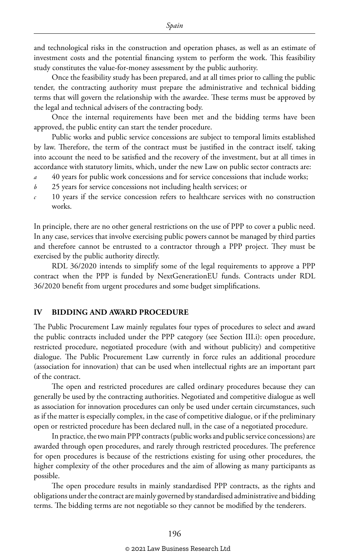and technological risks in the construction and operation phases, as well as an estimate of investment costs and the potential financing system to perform the work. This feasibility study constitutes the value-for-money assessment by the public authority.

Once the feasibility study has been prepared, and at all times prior to calling the public tender, the contracting authority must prepare the administrative and technical bidding terms that will govern the relationship with the awardee. These terms must be approved by the legal and technical advisers of the contracting body.

Once the internal requirements have been met and the bidding terms have been approved, the public entity can start the tender procedure.

Public works and public service concessions are subject to temporal limits established by law. Therefore, the term of the contract must be justified in the contract itself, taking into account the need to be satisfied and the recovery of the investment, but at all times in accordance with statutory limits, which, under the new Law on public sector contracts are:

- *a* 40 years for public work concessions and for service concessions that include works;
- *b* 25 years for service concessions not including health services; or
- *c* 10 years if the service concession refers to healthcare services with no construction works.

In principle, there are no other general restrictions on the use of PPP to cover a public need. In any case, services that involve exercising public powers cannot be managed by third parties and therefore cannot be entrusted to a contractor through a PPP project. They must be exercised by the public authority directly.

RDL 36/2020 intends to simplify some of the legal requirements to approve a PPP contract when the PPP is funded by NextGenerationEU funds. Contracts under RDL 36/2020 benefit from urgent procedures and some budget simplifications.

#### **IV BIDDING AND AWARD PROCEDURE**

The Public Procurement Law mainly regulates four types of procedures to select and award the public contracts included under the PPP category (see Section III.i): open procedure, restricted procedure, negotiated procedure (with and without publicity) and competitive dialogue. The Public Procurement Law currently in force rules an additional procedure (association for innovation) that can be used when intellectual rights are an important part of the contract.

The open and restricted procedures are called ordinary procedures because they can generally be used by the contracting authorities. Negotiated and competitive dialogue as well as association for innovation procedures can only be used under certain circumstances, such as if the matter is especially complex, in the case of competitive dialogue, or if the preliminary open or restricted procedure has been declared null, in the case of a negotiated procedure.

In practice, the two main PPP contracts (public works and public service concessions) are awarded through open procedures, and rarely through restricted procedures. The preference for open procedures is because of the restrictions existing for using other procedures, the higher complexity of the other procedures and the aim of allowing as many participants as possible.

The open procedure results in mainly standardised PPP contracts, as the rights and obligations under the contract are mainly governed by standardised administrative and bidding terms. The bidding terms are not negotiable so they cannot be modified by the tenderers.

#### © 2021 Law Business Research Ltd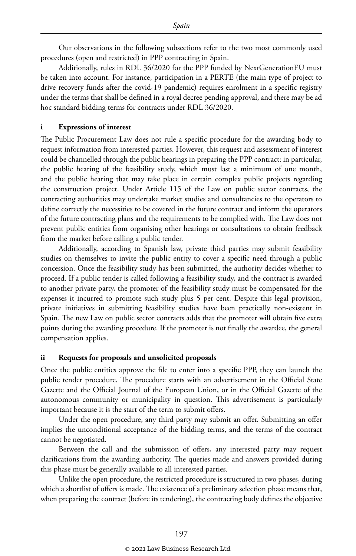Our observations in the following subsections refer to the two most commonly used procedures (open and restricted) in PPP contracting in Spain.

Additionally, rules in RDL 36/2020 for the PPP funded by NextGenerationEU must be taken into account. For instance, participation in a PERTE (the main type of project to drive recovery funds after the covid-19 pandemic) requires enrolment in a specific registry under the terms that shall be defined in a royal decree pending approval, and there may be ad hoc standard bidding terms for contracts under RDL 36/2020.

#### **i Expressions of interest**

The Public Procurement Law does not rule a specific procedure for the awarding body to request information from interested parties. However, this request and assessment of interest could be channelled through the public hearings in preparing the PPP contract: in particular, the public hearing of the feasibility study, which must last a minimum of one month, and the public hearing that may take place in certain complex public projects regarding the construction project. Under Article 115 of the Law on public sector contracts, the contracting authorities may undertake market studies and consultancies to the operators to define correctly the necessities to be covered in the future contract and inform the operators of the future contracting plans and the requirements to be complied with. The Law does not prevent public entities from organising other hearings or consultations to obtain feedback from the market before calling a public tender.

Additionally, according to Spanish law, private third parties may submit feasibility studies on themselves to invite the public entity to cover a specific need through a public concession. Once the feasibility study has been submitted, the authority decides whether to proceed. If a public tender is called following a feasibility study, and the contract is awarded to another private party, the promoter of the feasibility study must be compensated for the expenses it incurred to promote such study plus 5 per cent. Despite this legal provision, private initiatives in submitting feasibility studies have been practically non-existent in Spain. The new Law on public sector contracts adds that the promoter will obtain five extra points during the awarding procedure. If the promoter is not finally the awardee, the general compensation applies.

#### **ii Requests for proposals and unsolicited proposals**

Once the public entities approve the file to enter into a specific PPP, they can launch the public tender procedure. The procedure starts with an advertisement in the Official State Gazette and the Official Journal of the European Union, or in the Official Gazette of the autonomous community or municipality in question. This advertisement is particularly important because it is the start of the term to submit offers.

Under the open procedure, any third party may submit an offer. Submitting an offer implies the unconditional acceptance of the bidding terms, and the terms of the contract cannot be negotiated.

Between the call and the submission of offers, any interested party may request clarifications from the awarding authority. The queries made and answers provided during this phase must be generally available to all interested parties.

Unlike the open procedure, the restricted procedure is structured in two phases, during which a shortlist of offers is made. The existence of a preliminary selection phase means that, when preparing the contract (before its tendering), the contracting body defines the objective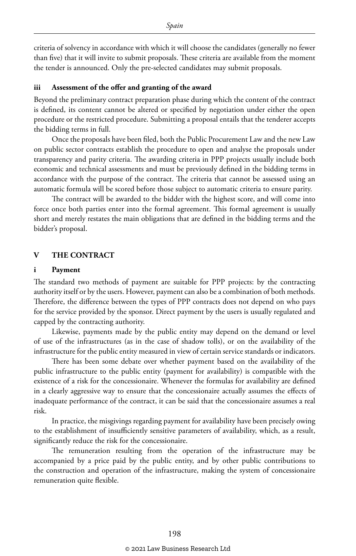criteria of solvency in accordance with which it will choose the candidates (generally no fewer than five) that it will invite to submit proposals. These criteria are available from the moment the tender is announced. Only the pre-selected candidates may submit proposals.

#### **iii Assessment of the offer and granting of the award**

Beyond the preliminary contract preparation phase during which the content of the contract is defined, its content cannot be altered or specified by negotiation under either the open procedure or the restricted procedure. Submitting a proposal entails that the tenderer accepts the bidding terms in full.

Once the proposals have been filed, both the Public Procurement Law and the new Law on public sector contracts establish the procedure to open and analyse the proposals under transparency and parity criteria. The awarding criteria in PPP projects usually include both economic and technical assessments and must be previously defined in the bidding terms in accordance with the purpose of the contract. The criteria that cannot be assessed using an automatic formula will be scored before those subject to automatic criteria to ensure parity.

The contract will be awarded to the bidder with the highest score, and will come into force once both parties enter into the formal agreement. This formal agreement is usually short and merely restates the main obligations that are defined in the bidding terms and the bidder's proposal.

#### **V THE CONTRACT**

#### **i Payment**

The standard two methods of payment are suitable for PPP projects: by the contracting authority itself or by the users. However, payment can also be a combination of both methods. Therefore, the difference between the types of PPP contracts does not depend on who pays for the service provided by the sponsor. Direct payment by the users is usually regulated and capped by the contracting authority.

Likewise, payments made by the public entity may depend on the demand or level of use of the infrastructures (as in the case of shadow tolls), or on the availability of the infrastructure for the public entity measured in view of certain service standards or indicators.

There has been some debate over whether payment based on the availability of the public infrastructure to the public entity (payment for availability) is compatible with the existence of a risk for the concessionaire. Whenever the formulas for availability are defined in a clearly aggressive way to ensure that the concessionaire actually assumes the effects of inadequate performance of the contract, it can be said that the concessionaire assumes a real risk.

In practice, the misgivings regarding payment for availability have been precisely owing to the establishment of insufficiently sensitive parameters of availability, which, as a result, significantly reduce the risk for the concessionaire.

The remuneration resulting from the operation of the infrastructure may be accompanied by a price paid by the public entity, and by other public contributions to the construction and operation of the infrastructure, making the system of concessionaire remuneration quite flexible.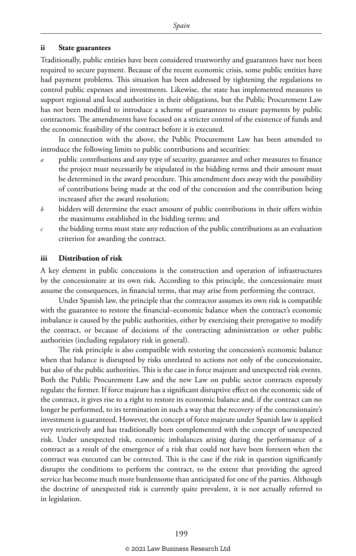#### **ii State guarantees**

Traditionally, public entities have been considered trustworthy and guarantees have not been required to secure payment. Because of the recent economic crisis, some public entities have had payment problems. This situation has been addressed by tightening the regulations to control public expenses and investments. Likewise, the state has implemented measures to support regional and local authorities in their obligations, but the Public Procurement Law has not been modified to introduce a scheme of guarantees to ensure payments by public contractors. The amendments have focused on a stricter control of the existence of funds and the economic feasibility of the contract before it is executed.

In connection with the above, the Public Procurement Law has been amended to introduce the following limits to public contributions and securities:

- *a* public contributions and any type of security, guarantee and other measures to finance the project must necessarily be stipulated in the bidding terms and their amount must be determined in the award procedure. This amendment does away with the possibility of contributions being made at the end of the concession and the contribution being increased after the award resolution;
- *b* bidders will determine the exact amount of public contributions in their offers within the maximums established in the bidding terms; and
- *c* the bidding terms must state any reduction of the public contributions as an evaluation criterion for awarding the contract.

#### **iii Distribution of risk**

A key element in public concessions is the construction and operation of infrastructures by the concessionaire at its own risk. According to this principle, the concessionaire must assume the consequences, in financial terms, that may arise from performing the contract.

Under Spanish law, the principle that the contractor assumes its own risk is compatible with the guarantee to restore the financial–economic balance when the contract's economic imbalance is caused by the public authorities, either by exercising their prerogative to modify the contract, or because of decisions of the contracting administration or other public authorities (including regulatory risk in general).

The risk principle is also compatible with restoring the concession's economic balance when that balance is disrupted by risks unrelated to actions not only of the concessionaire, but also of the public authorities. This is the case in force majeure and unexpected risk events. Both the Public Procurement Law and the new Law on public sector contracts expressly regulate the former. If force majeure has a significant disruptive effect on the economic side of the contract, it gives rise to a right to restore its economic balance and, if the contract can no longer be performed, to its termination in such a way that the recovery of the concessionaire's investment is guaranteed. However, the concept of force majeure under Spanish law is applied very restrictively and has traditionally been complemented with the concept of unexpected risk. Under unexpected risk, economic imbalances arising during the performance of a contract as a result of the emergence of a risk that could not have been foreseen when the contract was executed can be corrected. This is the case if the risk in question significantly disrupts the conditions to perform the contract, to the extent that providing the agreed service has become much more burdensome than anticipated for one of the parties. Although the doctrine of unexpected risk is currently quite prevalent, it is not actually referred to in legislation.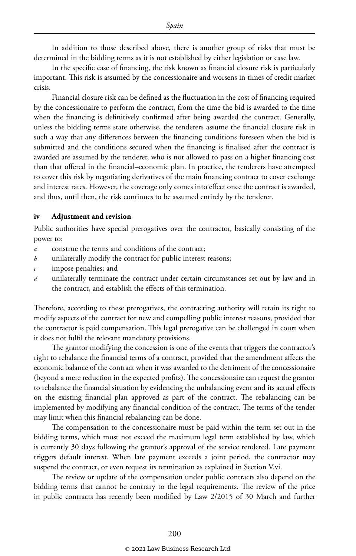In addition to those described above, there is another group of risks that must be determined in the bidding terms as it is not established by either legislation or case law.

In the specific case of financing, the risk known as financial closure risk is particularly important. This risk is assumed by the concessionaire and worsens in times of credit market crisis.

Financial closure risk can be defined as the fluctuation in the cost of financing required by the concessionaire to perform the contract, from the time the bid is awarded to the time when the financing is definitively confirmed after being awarded the contract. Generally, unless the bidding terms state otherwise, the tenderers assume the financial closure risk in such a way that any differences between the financing conditions foreseen when the bid is submitted and the conditions secured when the financing is finalised after the contract is awarded are assumed by the tenderer, who is not allowed to pass on a higher financing cost than that offered in the financial–economic plan. In practice, the tenderers have attempted to cover this risk by negotiating derivatives of the main financing contract to cover exchange and interest rates. However, the coverage only comes into effect once the contract is awarded, and thus, until then, the risk continues to be assumed entirely by the tenderer.

#### **iv Adjustment and revision**

Public authorities have special prerogatives over the contractor, basically consisting of the power to:

- *a* construe the terms and conditions of the contract;
- *b* unilaterally modify the contract for public interest reasons;
- *c* impose penalties; and
- *d* unilaterally terminate the contract under certain circumstances set out by law and in the contract, and establish the effects of this termination.

Therefore, according to these prerogatives, the contracting authority will retain its right to modify aspects of the contract for new and compelling public interest reasons, provided that the contractor is paid compensation. This legal prerogative can be challenged in court when it does not fulfil the relevant mandatory provisions.

The grantor modifying the concession is one of the events that triggers the contractor's right to rebalance the financial terms of a contract, provided that the amendment affects the economic balance of the contract when it was awarded to the detriment of the concessionaire (beyond a mere reduction in the expected profits). The concessionaire can request the grantor to rebalance the financial situation by evidencing the unbalancing event and its actual effects on the existing financial plan approved as part of the contract. The rebalancing can be implemented by modifying any financial condition of the contract. The terms of the tender may limit when this financial rebalancing can be done.

The compensation to the concessionaire must be paid within the term set out in the bidding terms, which must not exceed the maximum legal term established by law, which is currently 30 days following the grantor's approval of the service rendered. Late payment triggers default interest. When late payment exceeds a joint period, the contractor may suspend the contract, or even request its termination as explained in Section V.vi.

The review or update of the compensation under public contracts also depend on the bidding terms that cannot be contrary to the legal requirements. The review of the price in public contracts has recently been modified by Law 2/2015 of 30 March and further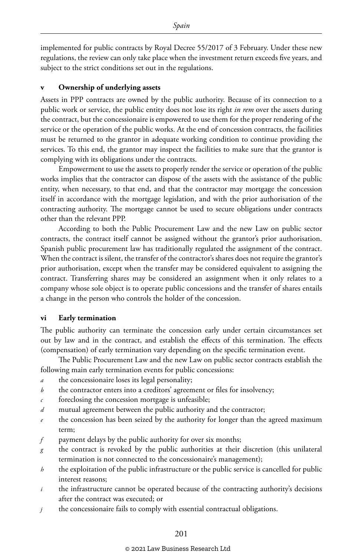implemented for public contracts by Royal Decree 55/2017 of 3 February. Under these new regulations, the review can only take place when the investment return exceeds five years, and subject to the strict conditions set out in the regulations.

#### **v Ownership of underlying assets**

Assets in PPP contracts are owned by the public authority. Because of its connection to a public work or service, the public entity does not lose its right *in rem* over the assets during the contract, but the concessionaire is empowered to use them for the proper rendering of the service or the operation of the public works. At the end of concession contracts, the facilities must be returned to the grantor in adequate working condition to continue providing the services. To this end, the grantor may inspect the facilities to make sure that the grantor is complying with its obligations under the contracts.

Empowerment to use the assets to properly render the service or operation of the public works implies that the contractor can dispose of the assets with the assistance of the public entity, when necessary, to that end, and that the contractor may mortgage the concession itself in accordance with the mortgage legislation, and with the prior authorisation of the contracting authority. The mortgage cannot be used to secure obligations under contracts other than the relevant PPP.

According to both the Public Procurement Law and the new Law on public sector contracts, the contract itself cannot be assigned without the grantor's prior authorisation. Spanish public procurement law has traditionally regulated the assignment of the contract. When the contract is silent, the transfer of the contractor's shares does not require the grantor's prior authorisation, except when the transfer may be considered equivalent to assigning the contract. Transferring shares may be considered an assignment when it only relates to a company whose sole object is to operate public concessions and the transfer of shares entails a change in the person who controls the holder of the concession.

#### **vi Early termination**

The public authority can terminate the concession early under certain circumstances set out by law and in the contract, and establish the effects of this termination. The effects (compensation) of early termination vary depending on the specific termination event.

The Public Procurement Law and the new Law on public sector contracts establish the following main early termination events for public concessions:

- *a* the concessionaire loses its legal personality;
- *b* the contractor enters into a creditors' agreement or files for insolvency;
- foreclosing the concession mortgage is unfeasible;
- *d* mutual agreement between the public authority and the contractor;
- *e* the concession has been seized by the authority for longer than the agreed maximum term;
- *f* payment delays by the public authority for over six months;
- *g* the contract is revoked by the public authorities at their discretion (this unilateral termination is not connected to the concessionaire's management);
- *h* the exploitation of the public infrastructure or the public service is cancelled for public interest reasons;
- *i* the infrastructure cannot be operated because of the contracting authority's decisions after the contract was executed; or
- *j* the concessionaire fails to comply with essential contractual obligations.

#### © 2021 Law Business Research Ltd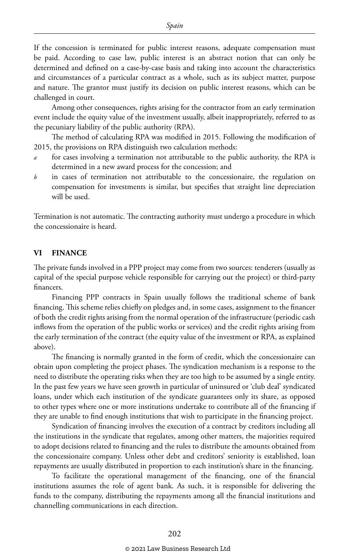If the concession is terminated for public interest reasons, adequate compensation must be paid. According to case law, public interest is an abstract notion that can only be determined and defined on a case-by-case basis and taking into account the characteristics and circumstances of a particular contract as a whole, such as its subject matter, purpose and nature. The grantor must justify its decision on public interest reasons, which can be challenged in court.

Among other consequences, rights arising for the contractor from an early termination event include the equity value of the investment usually, albeit inappropriately, referred to as the pecuniary liability of the public authority (RPA).

The method of calculating RPA was modified in 2015. Following the modification of 2015, the provisions on RPA distinguish two calculation methods:

- *a* for cases involving a termination not attributable to the public authority, the RPA is determined in a new award process for the concession; and
- *b* in cases of termination not attributable to the concessionaire, the regulation on compensation for investments is similar, but specifies that straight line depreciation will be used.

Termination is not automatic. The contracting authority must undergo a procedure in which the concessionaire is heard.

#### **VI FINANCE**

The private funds involved in a PPP project may come from two sources: tenderers (usually as capital of the special purpose vehicle responsible for carrying out the project) or third-party financers.

Financing PPP contracts in Spain usually follows the traditional scheme of bank financing. This scheme relies chiefly on pledges and, in some cases, assignment to the financer of both the credit rights arising from the normal operation of the infrastructure (periodic cash inflows from the operation of the public works or services) and the credit rights arising from the early termination of the contract (the equity value of the investment or RPA, as explained above).

The financing is normally granted in the form of credit, which the concessionaire can obtain upon completing the project phases. The syndication mechanism is a response to the need to distribute the operating risks when they are too high to be assumed by a single entity. In the past few years we have seen growth in particular of uninsured or 'club deal' syndicated loans, under which each institution of the syndicate guarantees only its share, as opposed to other types where one or more institutions undertake to contribute all of the financing if they are unable to find enough institutions that wish to participate in the financing project.

Syndication of financing involves the execution of a contract by creditors including all the institutions in the syndicate that regulates, among other matters, the majorities required to adopt decisions related to financing and the rules to distribute the amounts obtained from the concessionaire company. Unless other debt and creditors' seniority is established, loan repayments are usually distributed in proportion to each institution's share in the financing.

To facilitate the operational management of the financing, one of the financial institutions assumes the role of agent bank. As such, it is responsible for delivering the funds to the company, distributing the repayments among all the financial institutions and channelling communications in each direction.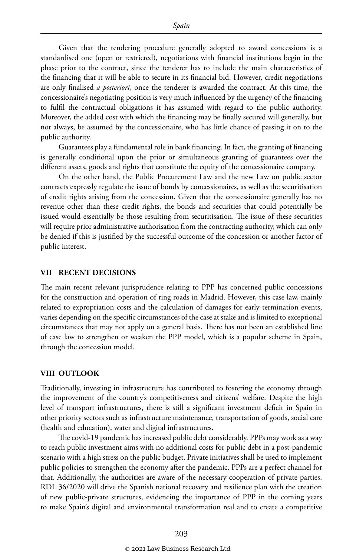Given that the tendering procedure generally adopted to award concessions is a standardised one (open or restricted), negotiations with financial institutions begin in the phase prior to the contract, since the tenderer has to include the main characteristics of the financing that it will be able to secure in its financial bid. However, credit negotiations are only finalised *a posteriori*, once the tenderer is awarded the contract. At this time, the concessionaire's negotiating position is very much influenced by the urgency of the financing to fulfil the contractual obligations it has assumed with regard to the public authority. Moreover, the added cost with which the financing may be finally secured will generally, but not always, be assumed by the concessionaire, who has little chance of passing it on to the public authority.

Guarantees play a fundamental role in bank financing. In fact, the granting of financing is generally conditional upon the prior or simultaneous granting of guarantees over the different assets, goods and rights that constitute the equity of the concessionaire company.

On the other hand, the Public Procurement Law and the new Law on public sector contracts expressly regulate the issue of bonds by concessionaires, as well as the securitisation of credit rights arising from the concession. Given that the concessionaire generally has no revenue other than these credit rights, the bonds and securities that could potentially be issued would essentially be those resulting from securitisation. The issue of these securities will require prior administrative authorisation from the contracting authority, which can only be denied if this is justified by the successful outcome of the concession or another factor of public interest.

#### **VII RECENT DECISIONS**

The main recent relevant jurisprudence relating to PPP has concerned public concessions for the construction and operation of ring roads in Madrid. However, this case law, mainly related to expropriation costs and the calculation of damages for early termination events, varies depending on the specific circumstances of the case at stake and is limited to exceptional circumstances that may not apply on a general basis. There has not been an established line of case law to strengthen or weaken the PPP model, which is a popular scheme in Spain, through the concession model.

#### **VIII OUTLOOK**

Traditionally, investing in infrastructure has contributed to fostering the economy through the improvement of the country's competitiveness and citizens' welfare. Despite the high level of transport infrastructures, there is still a significant investment deficit in Spain in other priority sectors such as infrastructure maintenance, transportation of goods, social care (health and education), water and digital infrastructures.

The covid-19 pandemic has increased public debt considerably. PPPs may work as a way to reach public investment aims with no additional costs for public debt in a post-pandemic scenario with a high stress on the public budget. Private initiatives shall be used to implement public policies to strengthen the economy after the pandemic. PPPs are a perfect channel for that. Additionally, the authorities are aware of the necessary cooperation of private parties. RDL 36/2020 will drive the Spanish national recovery and resilience plan with the creation of new public-private structures, evidencing the importance of PPP in the coming years to make Spain's digital and environmental transformation real and to create a competitive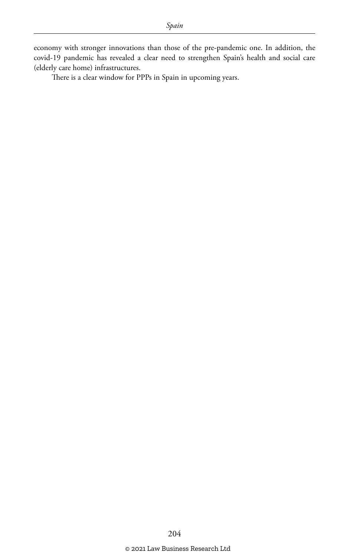economy with stronger innovations than those of the pre-pandemic one. In addition, the covid-19 pandemic has revealed a clear need to strengthen Spain's health and social care (elderly care home) infrastructures.

There is a clear window for PPPs in Spain in upcoming years.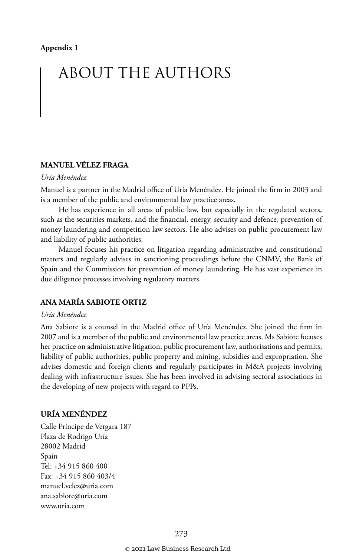## ABOUT THE AUTHORS

#### **MANUEL VÉLEZ FRAGA**

#### *Uría Menéndez*

Manuel is a partner in the Madrid office of Uría Menéndez. He joined the firm in 2003 and is a member of the public and environmental law practice areas.

He has experience in all areas of public law, but especially in the regulated sectors, such as the securities markets, and the financial, energy, security and defence, prevention of money laundering and competition law sectors. He also advises on public procurement law and liability of public authorities.

Manuel focuses his practice on litigation regarding administrative and constitutional matters and regularly advises in sanctioning proceedings before the CNMV, the Bank of Spain and the Commission for prevention of money laundering. He has vast experience in due diligence processes involving regulatory matters.

#### **ANA MARÍA SABIOTE ORTIZ**

#### *Uría Menéndez*

Ana Sabiote is a counsel in the Madrid office of Uría Menéndez. She joined the firm in 2007 and is a member of the public and environmental law practice areas. Ms Sabiote focuses her practice on administrative litigation, public procurement law, authorisations and permits, liability of public authorities, public property and mining, subsidies and expropriation. She advises domestic and foreign clients and regularly participates in M&A projects involving dealing with infrastructure issues. She has been involved in advising sectoral associations in the developing of new projects with regard to PPPs.

#### **URÍA MENÉNDEZ**

Calle Príncipe de Vergara 187 Plaza de Rodrigo Uría 28002 Madrid Spain Tel: +34 915 860 400 Fax: +34 915 860 403/4 manuel.velez@uria.com ana.sabiote@uria.com www.uria.com